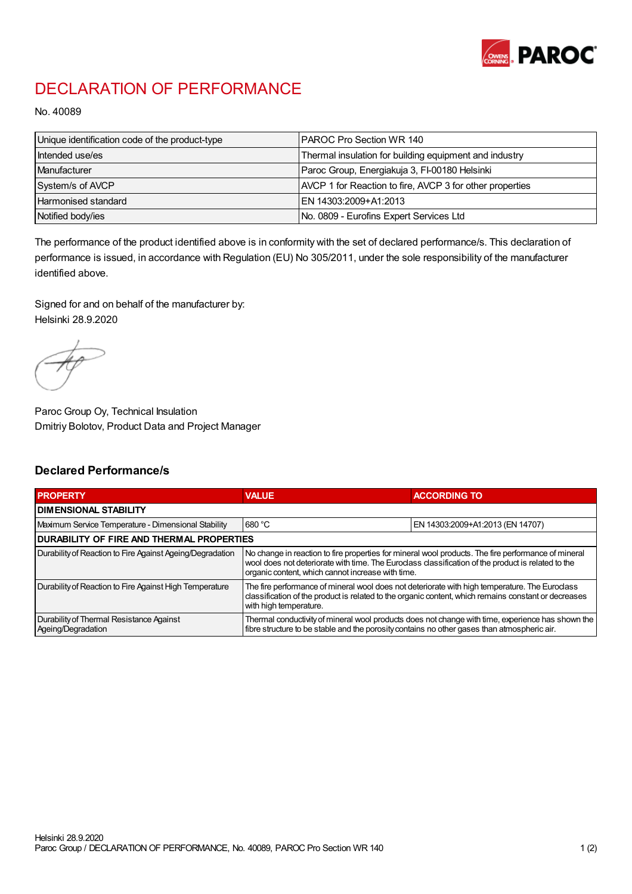

## DECLARATION OF PERFORMANCE

No. 40089

| Unique identification code of the product-type | IPAROC Pro Section WR 140                                |
|------------------------------------------------|----------------------------------------------------------|
| Intended use/es                                | Thermal insulation for building equipment and industry   |
| Manufacturer                                   | Paroc Group, Energiakuja 3, FI-00180 Helsinki            |
| System/s of AVCP                               | AVCP 1 for Reaction to fire, AVCP 3 for other properties |
| Harmonised standard                            | IEN 14303:2009+A1:2013                                   |
| Notified body/ies                              | No. 0809 - Eurofins Expert Services Ltd                  |

The performance of the product identified above is in conformity with the set of declared performance/s. This declaration of performance is issued, in accordance with Regulation (EU) No 305/2011, under the sole responsibility of the manufacturer identified above.

Signed for and on behalf of the manufacturer by: Helsinki 28.9.2020

Paroc Group Oy, Technical Insulation Dmitriy Bolotov, Product Data and Project Manager

## Declared Performance/s

| <b>PROPERTY</b>                                                | <b>VALUE</b>                                                                                                                                                                                                                                                   | <b>ACCORDING TO</b>              |  |
|----------------------------------------------------------------|----------------------------------------------------------------------------------------------------------------------------------------------------------------------------------------------------------------------------------------------------------------|----------------------------------|--|
| <b>DIMENSIONAL STABILITY</b>                                   |                                                                                                                                                                                                                                                                |                                  |  |
| Maximum Service Temperature - Dimensional Stability            | 680 °C                                                                                                                                                                                                                                                         | EN 14303:2009+A1:2013 (EN 14707) |  |
| <b>DURABILITY OF FIRE AND THERMAL PROPERTIES</b>               |                                                                                                                                                                                                                                                                |                                  |  |
| Durability of Reaction to Fire Against Ageing/Degradation      | No change in reaction to fire properties for mineral wool products. The fire performance of mineral<br>wool does not deteriorate with time. The Euroclass classification of the product is related to the<br>organic content, which cannot increase with time. |                                  |  |
| Durability of Reaction to Fire Against High Temperature        | The fire performance of mineral wool does not deteriorate with high temperature. The Euroclass<br>classification of the product is related to the organic content, which remains constant or decreases<br>with high temperature.                               |                                  |  |
| Durability of Thermal Resistance Against<br>Ageing/Degradation | Thermal conductivity of mineral wool products does not change with time, experience has shown the<br>fibre structure to be stable and the porosity contains no other gases than atmospheric air.                                                               |                                  |  |